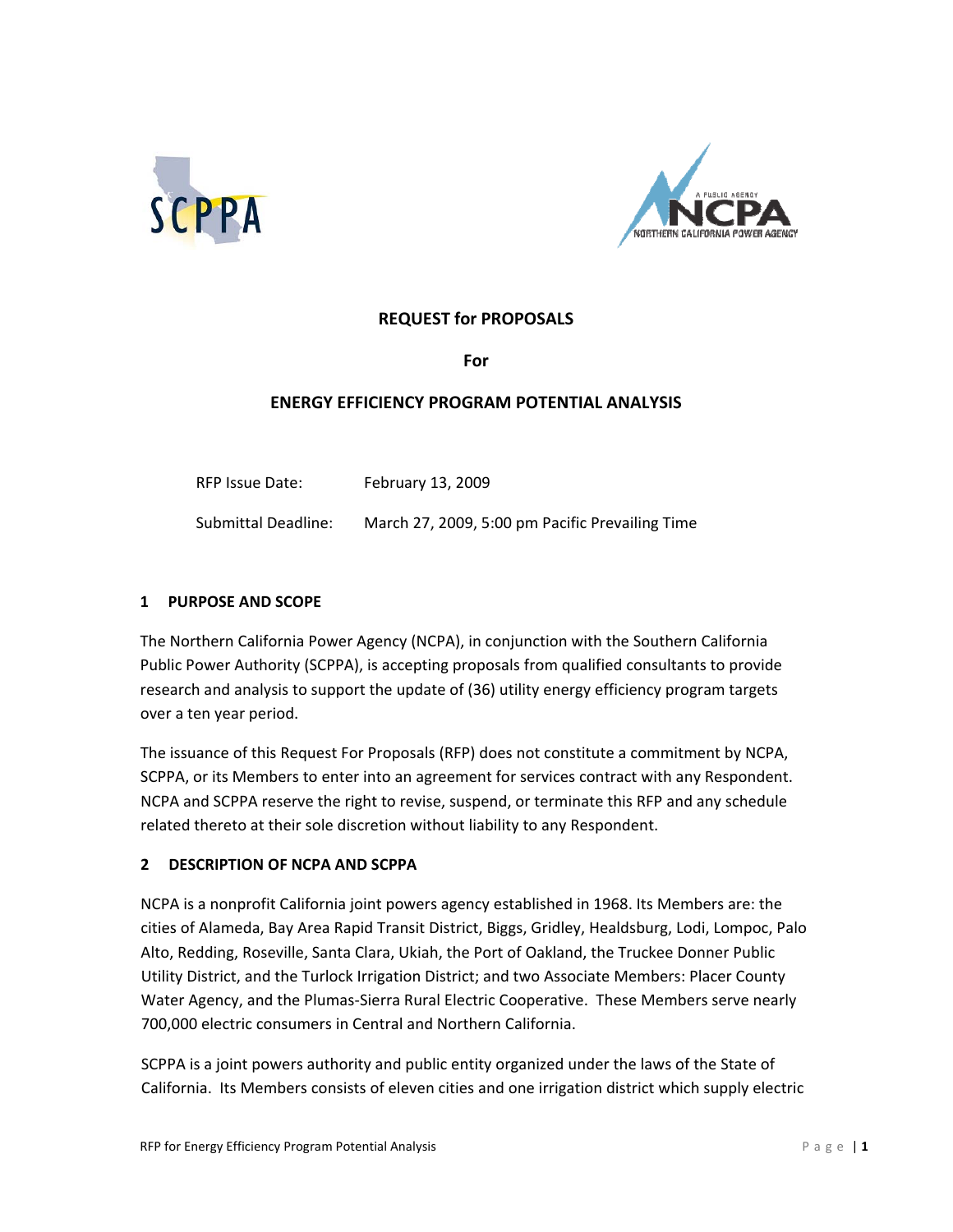



# **REQUEST for PROPOSALS**

**For**

### **ENERGY EFFICIENCY PROGRAM POTENTIAL ANALYSIS**

RFP Issue Date: February 13, 2009 Submittal Deadline: March 27, 2009, 5:00 pm Pacific Prevailing Time

#### **1 PURPOSE AND SCOPE**

The Northern California Power Agency (NCPA), in conjunction with the Southern California Public Power Authority (SCPPA), is accepting proposals from qualified consultants to provide research and analysis to support the update of (36) utility energy efficiency program targets over a ten year period.

The issuance of this Request For Proposals (RFP) does not constitute a commitment by NCPA, SCPPA, or its Members to enter into an agreement for services contract with any Respondent. NCPA and SCPPA reserve the right to revise, suspend, or terminate this RFP and any schedule related thereto at their sole discretion without liability to any Respondent.

#### **2 DESCRIPTION OF NCPA AND SCPPA**

NCPA is a nonprofit California joint powers agency established in 1968. Its Members are: the cities of Alameda, Bay Area Rapid Transit District, Biggs, Gridley, Healdsburg, Lodi, Lompoc, Palo Alto, Redding, Roseville, Santa Clara, Ukiah, the Port of Oakland, the Truckee Donner Public Utility District, and the Turlock Irrigation District; and two Associate Members: Placer County Water Agency, and the Plumas‐Sierra Rural Electric Cooperative. These Members serve nearly 700,000 electric consumers in Central and Northern California.

SCPPA is a joint powers authority and public entity organized under the laws of the State of California. Its Members consists of eleven cities and one irrigation district which supply electric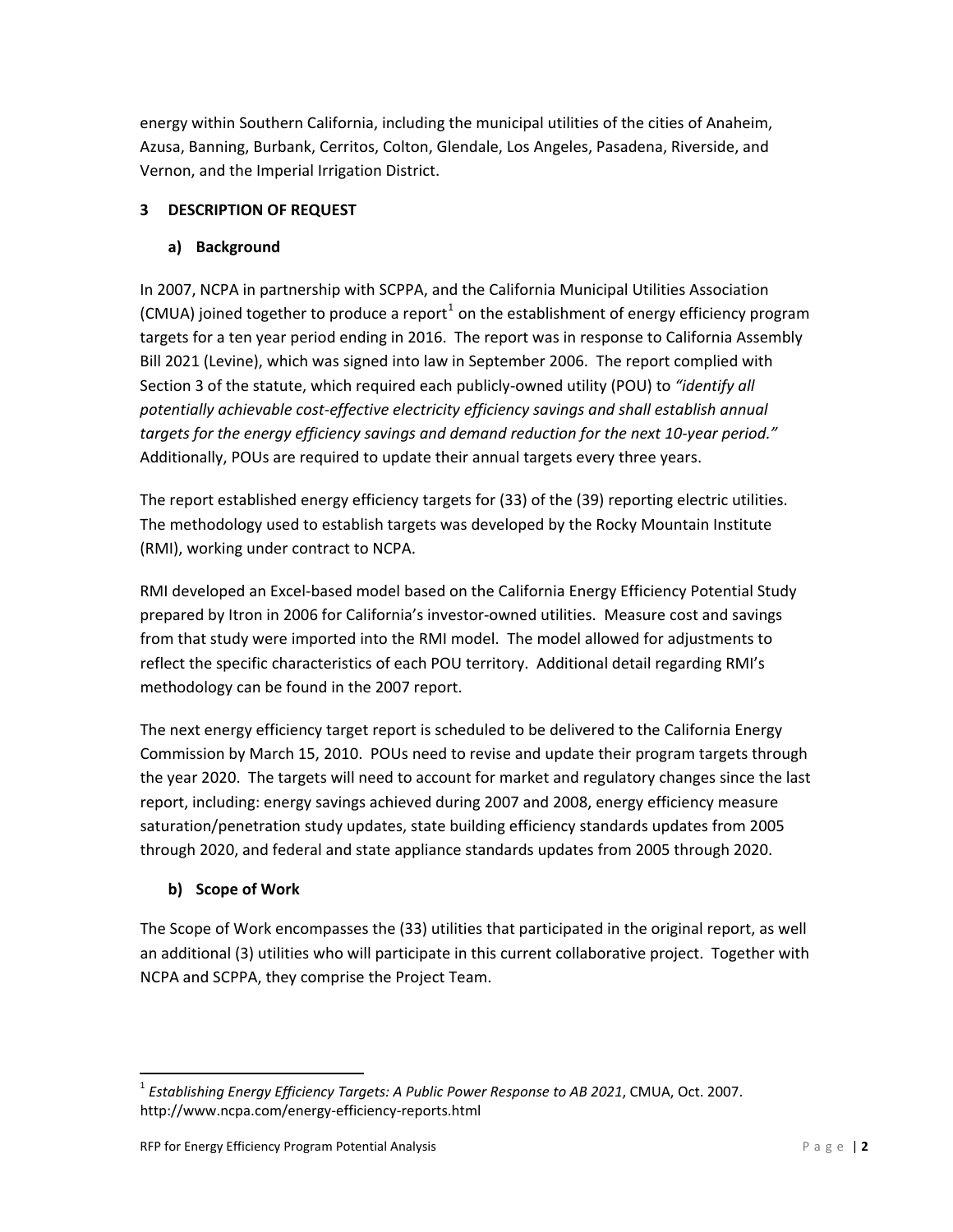energy within Southern California, including the municipal utilities of the cities of Anaheim, Azusa, Banning, Burbank, Cerritos, Colton, Glendale, Los Angeles, Pasadena, Riverside, and Vernon, and the Imperial Irrigation District.

# **3 DESCRIPTION OF REQUEST**

# **a) Background**

In 2007, NCPA in partnership with SCPPA, and the California Municipal Utilities Association (CMUA) joined together to produce a report<sup>[1](#page-1-0)</sup> on the establishment of energy efficiency program targets for a ten year period ending in 2016. The report was in response to California Assembly Bill 2021 (Levine), which was signed into law in September 2006. The report complied with Section 3 of the statute, which required each publicly‐owned utility (POU) to *"identify all potentially achievable cost‐effective electricity efficiency savings and shall establish annual targets for the energy efficiency savings and demand reduction for the next 10‐year period."* Additionally, POUs are required to update their annual targets every three years.

The report established energy efficiency targets for (33) of the (39) reporting electric utilities. The methodology used to establish targets was developed by the Rocky Mountain Institute (RMI), working under contract to NCPA.

RMI developed an Excel‐based model based on the California Energy Efficiency Potential Study prepared by Itron in 2006 for California's investor‐owned utilities. Measure cost and savings from that study were imported into the RMI model. The model allowed for adjustments to reflect the specific characteristics of each POU territory. Additional detail regarding RMI's methodology can be found in the 2007 report.

The next energy efficiency target report is scheduled to be delivered to the California Energy Commission by March 15, 2010. POUs need to revise and update their program targets through the year 2020. The targets will need to account for market and regulatory changes since the last report, including: energy savings achieved during 2007 and 2008, energy efficiency measure saturation/penetration study updates, state building efficiency standards updates from 2005 through 2020, and federal and state appliance standards updates from 2005 through 2020.

# **b) Scope of Work**

The Scope of Work encompasses the (33) utilities that participated in the original report, as well an additional (3) utilities who will participate in this current collaborative project. Together with NCPA and SCPPA, they comprise the Project Team.

<span id="page-1-0"></span><sup>1</sup> *Establishing Energy Efficiency Targets: A Public Power Response to AB 2021*, CMUA, Oct. 2007. http://www.ncpa.com/energy‐efficiency‐reports.html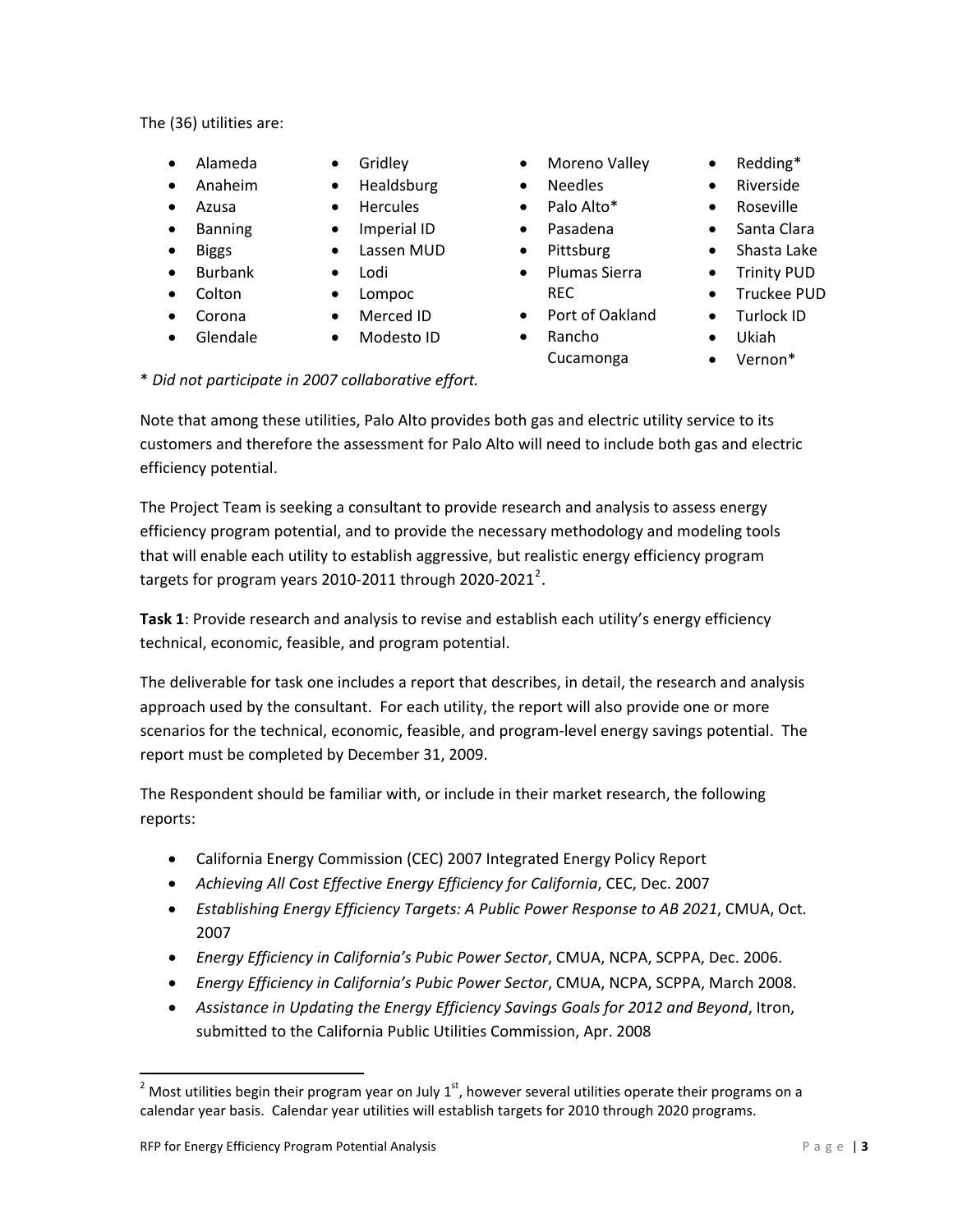The (36) utilities are:

- Alameda
- Anaheim
- Azusa
- Banning
- Biggs
- Burbank
- Colton
	-
- Corona
- Glendale
- **Gridley**
- Healdsburg
- **Hercules**
- Imperial ID
- Lassen MUD
- Lodi
- Lompoc
- Merced ID
- Modesto ID
- Moreno Valley
- Needles
- Palo Alto\*
- Pasadena
- Pittsburg
- Plumas Sierra REC
- Port of Oakland
- Rancho
	- Cucamonga
- Redding\*
- Riverside
- Roseville
- Santa Clara
- Shasta Lake
- Trinity PUD
- Truckee PUD
- Turlock ID
- Ukiah
- Vernon\*

\* *Did not participate in 2007 collaborative effort.*

Note that among these utilities, Palo Alto provides both gas and electric utility service to its customers and therefore the assessment for Palo Alto will need to include both gas and electric efficiency potential.

The Project Team is seeking a consultant to provide research and analysis to assess energy efficiency program potential, and to provide the necessary methodology and modeling tools that will enable each utility to establish aggressive, but realistic energy efficiency program targets for program years [2](#page-2-0)010-2011 through 2020-2021<sup>2</sup>.

**Task 1**: Provide research and analysis to revise and establish each utility's energy efficiency technical, economic, feasible, and program potential.

The deliverable for task one includes a report that describes, in detail, the research and analysis approach used by the consultant. For each utility, the report will also provide one or more scenarios for the technical, economic, feasible, and program‐level energy savings potential. The report must be completed by December 31, 2009.

The Respondent should be familiar with, or include in their market research, the following reports:

- California Energy Commission (CEC) 2007 Integrated Energy Policy Report
- *Achieving All Cost Effective Energy Efficiency for California*, CEC, Dec. 2007
- *Establishing Energy Efficiency Targets: A Public Power Response to AB 2021*, CMUA, Oct. 2007
- *Energy Efficiency in California's Pubic Power Sector*, CMUA, NCPA, SCPPA, Dec. 2006.
- *Energy Efficiency in California's Pubic Power Sector*, CMUA, NCPA, SCPPA, March 2008.
- *Assistance in Updating the Energy Efficiency Savings Goals for 2012 and Beyond*, Itron, submitted to the California Public Utilities Commission, Apr. 2008

<span id="page-2-0"></span><sup>&</sup>lt;sup>2</sup> Most utilities begin their program year on July 1<sup>st</sup>, however several utilities operate their programs on a calendar year basis. Calendar year utilities will establish targets for 2010 through 2020 programs.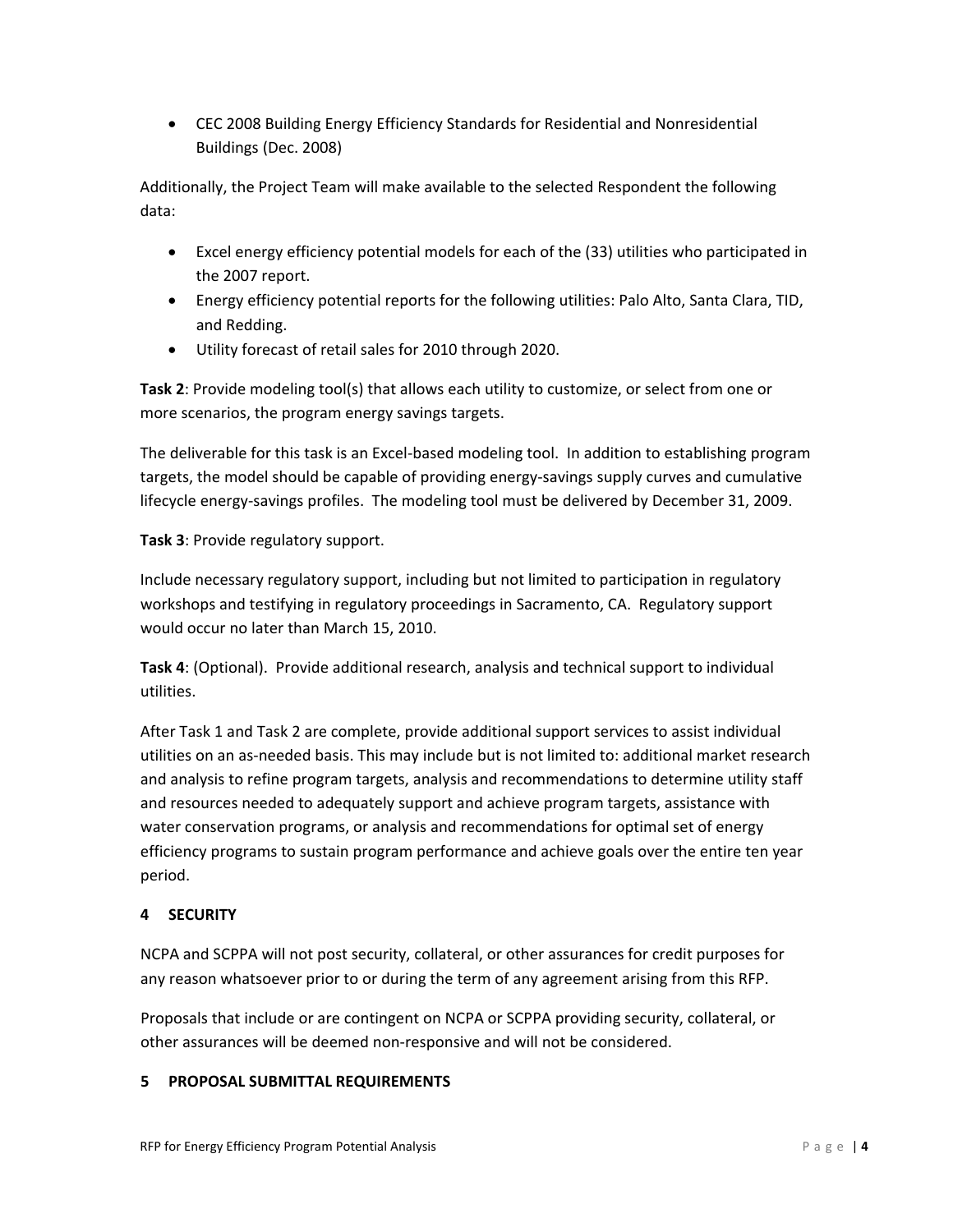• CEC 2008 Building Energy Efficiency Standards for Residential and Nonresidential Buildings (Dec. 2008)

Additionally, the Project Team will make available to the selected Respondent the following data:

- Excel energy efficiency potential models for each of the (33) utilities who participated in the 2007 report.
- Energy efficiency potential reports for the following utilities: Palo Alto, Santa Clara, TID, and Redding.
- Utility forecast of retail sales for 2010 through 2020.

**Task 2**: Provide modeling tool(s) that allows each utility to customize, or select from one or more scenarios, the program energy savings targets.

The deliverable for this task is an Excel‐based modeling tool. In addition to establishing program targets, the model should be capable of providing energy‐savings supply curves and cumulative lifecycle energy‐savings profiles. The modeling tool must be delivered by December 31, 2009.

**Task 3**: Provide regulatory support.

Include necessary regulatory support, including but not limited to participation in regulatory workshops and testifying in regulatory proceedings in Sacramento, CA. Regulatory support would occur no later than March 15, 2010.

**Task 4**: (Optional). Provide additional research, analysis and technical support to individual utilities.

After Task 1 and Task 2 are complete, provide additional support services to assist individual utilities on an as‐needed basis. This may include but is not limited to: additional market research and analysis to refine program targets, analysis and recommendations to determine utility staff and resources needed to adequately support and achieve program targets, assistance with water conservation programs, or analysis and recommendations for optimal set of energy efficiency programs to sustain program performance and achieve goals over the entire ten year period.

# **4 SECURITY**

NCPA and SCPPA will not post security, collateral, or other assurances for credit purposes for any reason whatsoever prior to or during the term of any agreement arising from this RFP.

Proposals that include or are contingent on NCPA or SCPPA providing security, collateral, or other assurances will be deemed non‐responsive and will not be considered.

### **5 PROPOSAL SUBMITTAL REQUIREMENTS**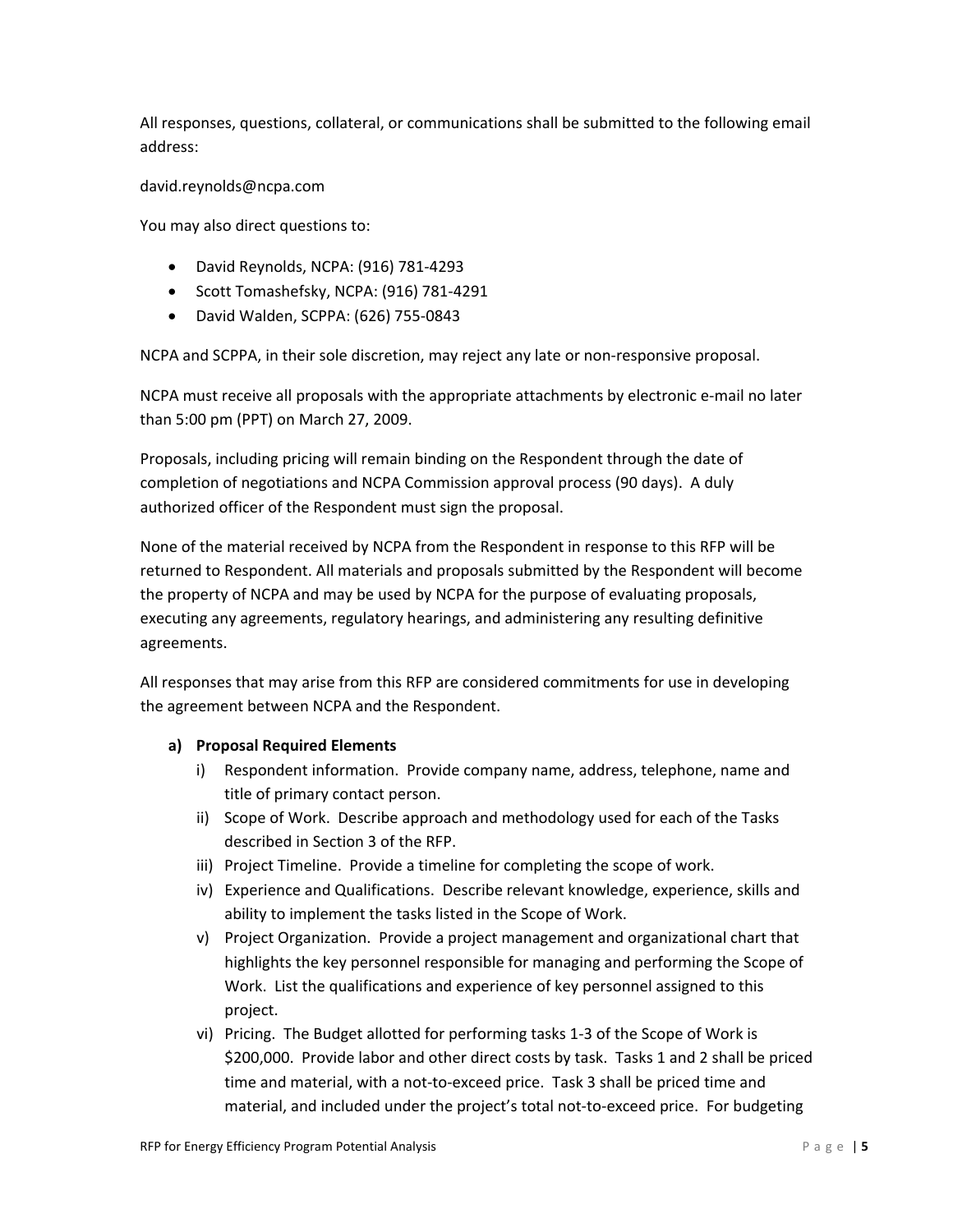All responses, questions, collateral, or communications shall be submitted to the following email address:

#### david.reynolds@ncpa.com

You may also direct questions to:

- David Reynolds, NCPA: (916) 781‐4293
- Scott Tomashefsky, NCPA: (916) 781‐4291
- David Walden, SCPPA: (626) 755‐0843

NCPA and SCPPA, in their sole discretion, may reject any late or non‐responsive proposal.

NCPA must receive all proposals with the appropriate attachments by electronic e‐mail no later than 5:00 pm (PPT) on March 27, 2009.

Proposals, including pricing will remain binding on the Respondent through the date of completion of negotiations and NCPA Commission approval process (90 days). A duly authorized officer of the Respondent must sign the proposal.

None of the material received by NCPA from the Respondent in response to this RFP will be returned to Respondent. All materials and proposals submitted by the Respondent will become the property of NCPA and may be used by NCPA for the purpose of evaluating proposals, executing any agreements, regulatory hearings, and administering any resulting definitive agreements.

All responses that may arise from this RFP are considered commitments for use in developing the agreement between NCPA and the Respondent.

### **a) Proposal Required Elements**

- i) Respondent information. Provide company name, address, telephone, name and title of primary contact person.
- ii) Scope of Work. Describe approach and methodology used for each of the Tasks described in Section 3 of the RFP.
- iii) Project Timeline. Provide a timeline for completing the scope of work.
- iv) Experience and Qualifications. Describe relevant knowledge, experience, skills and ability to implement the tasks listed in the Scope of Work.
- v) Project Organization. Provide a project management and organizational chart that highlights the key personnel responsible for managing and performing the Scope of Work. List the qualifications and experience of key personnel assigned to this project.
- vi) Pricing. The Budget allotted for performing tasks 1‐3 of the Scope of Work is \$200,000. Provide labor and other direct costs by task. Tasks 1 and 2 shall be priced time and material, with a not-to-exceed price. Task 3 shall be priced time and material, and included under the project's total not‐to‐exceed price. For budgeting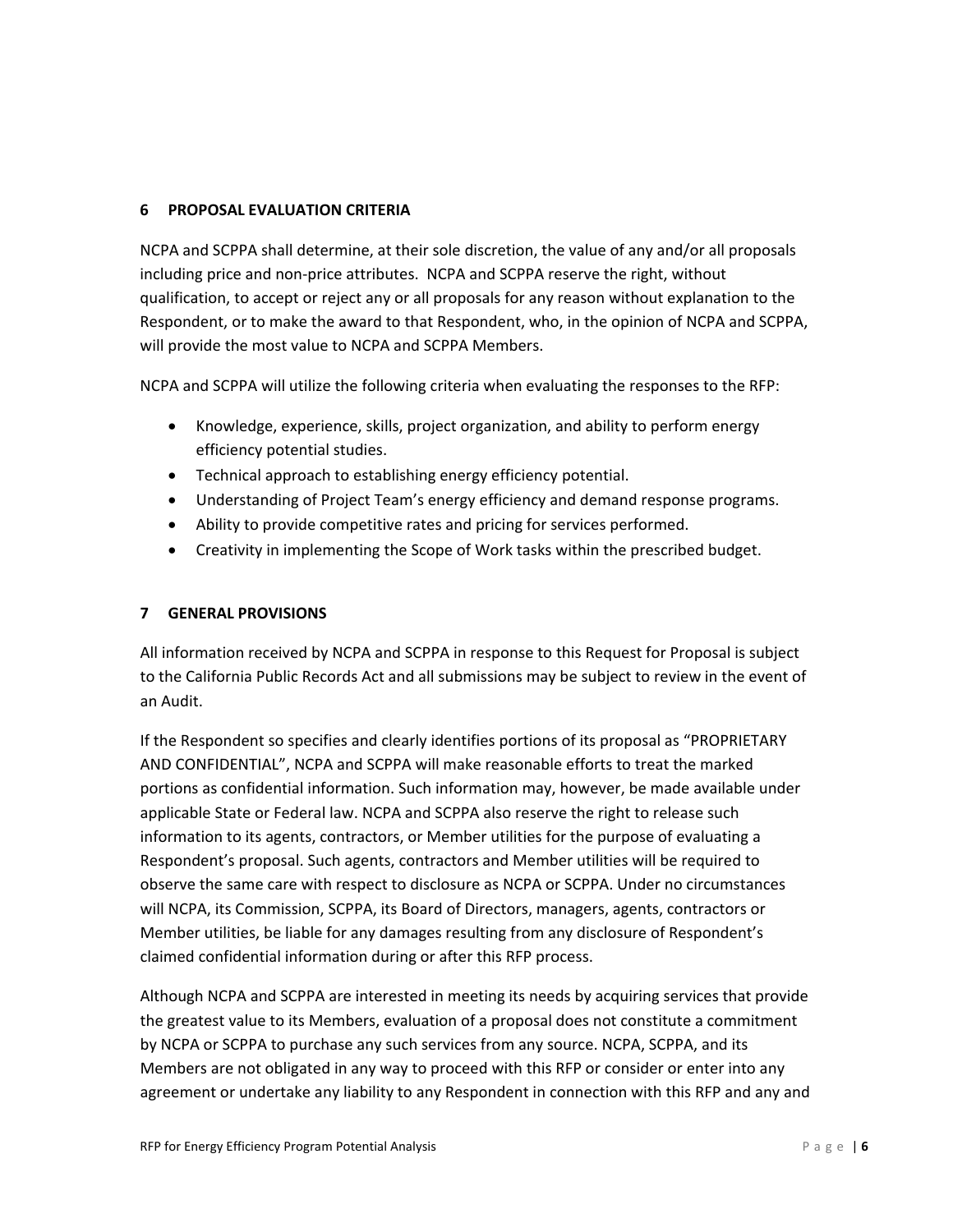### **6 PROPOSAL EVALUATION CRITERIA**

NCPA and SCPPA shall determine, at their sole discretion, the value of any and/or all proposals including price and non‐price attributes. NCPA and SCPPA reserve the right, without qualification, to accept or reject any or all proposals for any reason without explanation to the Respondent, or to make the award to that Respondent, who, in the opinion of NCPA and SCPPA, will provide the most value to NCPA and SCPPA Members.

NCPA and SCPPA will utilize the following criteria when evaluating the responses to the RFP:

- Knowledge, experience, skills, project organization, and ability to perform energy efficiency potential studies.
- Technical approach to establishing energy efficiency potential.
- Understanding of Project Team's energy efficiency and demand response programs.
- Ability to provide competitive rates and pricing for services performed.
- Creativity in implementing the Scope of Work tasks within the prescribed budget.

#### **7 GENERAL PROVISIONS**

All information received by NCPA and SCPPA in response to this Request for Proposal is subject to the California Public Records Act and all submissions may be subject to review in the event of an Audit.

If the Respondent so specifies and clearly identifies portions of its proposal as "PROPRIETARY AND CONFIDENTIAL", NCPA and SCPPA will make reasonable efforts to treat the marked portions as confidential information. Such information may, however, be made available under applicable State or Federal law. NCPA and SCPPA also reserve the right to release such information to its agents, contractors, or Member utilities for the purpose of evaluating a Respondent's proposal. Such agents, contractors and Member utilities will be required to observe the same care with respect to disclosure as NCPA or SCPPA. Under no circumstances will NCPA, its Commission, SCPPA, its Board of Directors, managers, agents, contractors or Member utilities, be liable for any damages resulting from any disclosure of Respondent's claimed confidential information during or after this RFP process.

Although NCPA and SCPPA are interested in meeting its needs by acquiring services that provide the greatest value to its Members, evaluation of a proposal does not constitute a commitment by NCPA or SCPPA to purchase any such services from any source. NCPA, SCPPA, and its Members are not obligated in any way to proceed with this RFP or consider or enter into any agreement or undertake any liability to any Respondent in connection with this RFP and any and